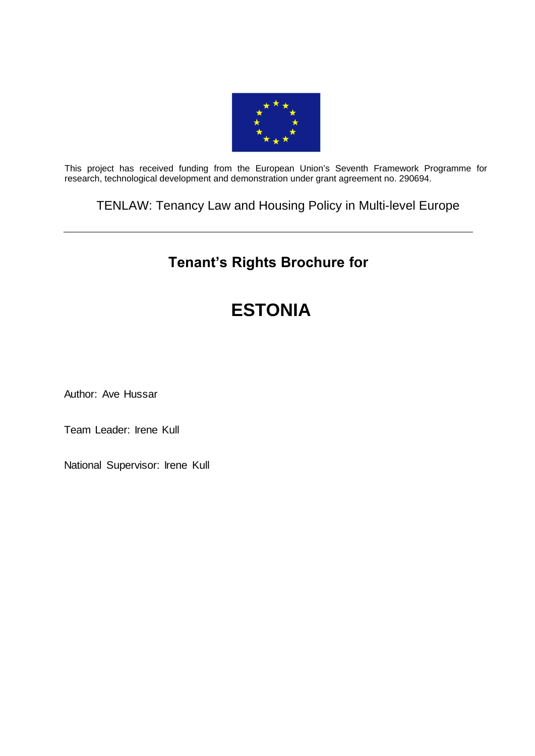

This project has received funding from the European Union's Seventh Framework Programme for research, technological development and demonstration under grant agreement no. 290694.

TENLAW: Tenancy Law and Housing Policy in Multi-level Europe

# **Tenant's Rights Brochure for**

# **ESTONIA**

Author: Ave Hussar

Team Leader: Irene Kull

National Supervisor: Irene Kull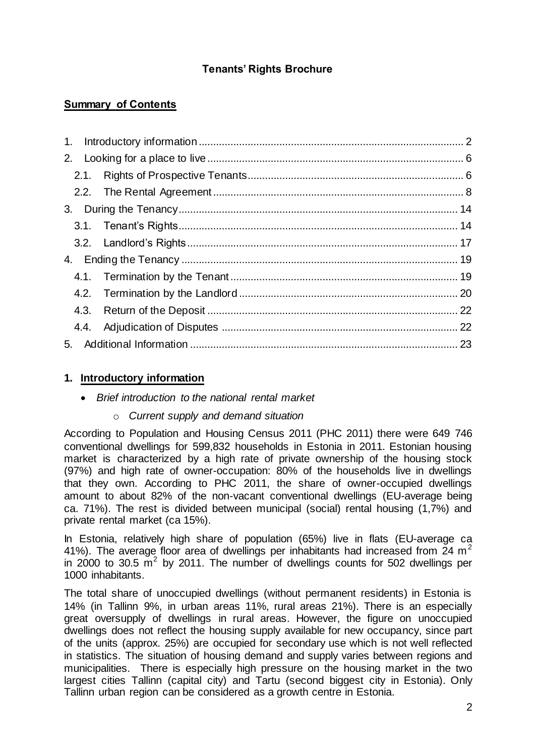# **Tenants' Rights Brochure**

# **Summary of Contents**

# <span id="page-1-0"></span>**1. Introductory information**

- *Brief introduction to the national rental market* 
	- o *Current supply and demand situation*

According to Population and Housing Census 2011 (PHC 2011) there were 649 746 conventional dwellings for 599,832 households in Estonia in 2011. Estonian housing market is characterized by a high rate of private ownership of the housing stock (97%) and high rate of owner-occupation: 80% of the households live in dwellings that they own. According to PHC 2011, the share of owner-occupied dwellings amount to about 82% of the non-vacant conventional dwellings (EU-average being ca. 71%). The rest is divided between municipal (social) rental housing (1,7%) and private rental market (ca 15%).

In Estonia, relatively high share of population (65%) live in flats (EU-average ca 41%). The average floor area of dwellings per inhabitants had increased from 24  $m<sup>2</sup>$ in 2000 to 30.5  $\mathrm{m}^2$  by 2011. The number of dwellings counts for 502 dwellings per 1000 inhabitants.

The total share of unoccupied dwellings (without permanent residents) in Estonia is 14% (in Tallinn 9%, in urban areas 11%, rural areas 21%). There is an especially great oversupply of dwellings in rural areas. However, the figure on unoccupied dwellings does not reflect the housing supply available for new occupancy, since part of the units (approx. 25%) are occupied for secondary use which is not well reflected in statistics. The situation of housing demand and supply varies between regions and municipalities. There is especially high pressure on the housing market in the two largest cities Tallinn (capital city) and Tartu (second biggest city in Estonia). Only Tallinn urban region can be considered as a growth centre in Estonia.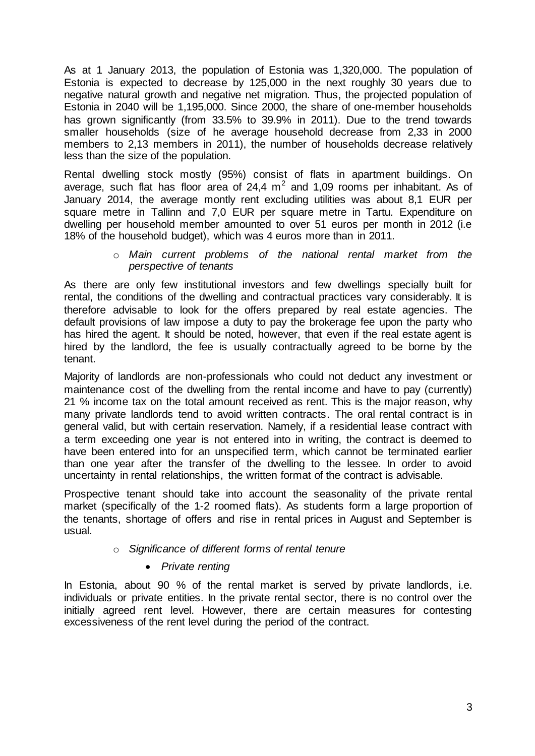As at 1 January 2013, the population of Estonia was 1,320,000. The population of Estonia is expected to decrease by 125,000 in the next roughly 30 years due to negative natural growth and negative net migration. Thus, the projected population of Estonia in 2040 will be 1,195,000. Since 2000, the share of one-member households has grown significantly (from 33.5% to 39.9% in 2011). Due to the trend towards smaller households (size of he average household decrease from 2,33 in 2000 members to 2,13 members in 2011), the number of households decrease relatively less than the size of the population.

Rental dwelling stock mostly (95%) consist of flats in apartment buildings. On average, such flat has floor area of  $24.4 \text{ m}^2$  and 1,09 rooms per inhabitant. As of January 2014, the average montly rent excluding utilities was about 8,1 EUR per square metre in Tallinn and 7,0 EUR per square metre in Tartu. Expenditure on dwelling per household member amounted to over 51 euros per month in 2012 (i.e 18% of the household budget), which was 4 euros more than in 2011.

> o *Main current problems of the national rental market from the perspective of tenants*

As there are only few institutional investors and few dwellings specially built for rental, the conditions of the dwelling and contractual practices vary considerably. It is therefore advisable to look for the offers prepared by real estate agencies. The default provisions of law impose a duty to pay the brokerage fee upon the party who has hired the agent. It should be noted, however, that even if the real estate agent is hired by the landlord, the fee is usually contractually agreed to be borne by the tenant.

Majority of landlords are non-professionals who could not deduct any investment or maintenance cost of the dwelling from the rental income and have to pay (currently) 21 % income tax on the total amount received as rent. This is the major reason, why many private landlords tend to avoid written contracts. The oral rental contract is in general valid, but with certain reservation. Namely, if a residential lease contract with a term exceeding one year is not entered into in writing, the contract is deemed to have been entered into for an unspecified term, which cannot be terminated earlier than one year after the transfer of the dwelling to the lessee. In order to avoid uncertainty in rental relationships, the written format of the contract is advisable.

Prospective tenant should take into account the seasonality of the private rental market (specifically of the 1-2 roomed flats). As students form a large proportion of the tenants, shortage of offers and rise in rental prices in August and September is usual.

# o *Significance of different forms of rental tenure*

# *Private renting*

In Estonia, about 90 % of the rental market is served by private landlords, i.e. individuals or private entities. In the private rental sector, there is no control over the initially agreed rent level. However, there are certain measures for contesting excessiveness of the rent level during the period of the contract.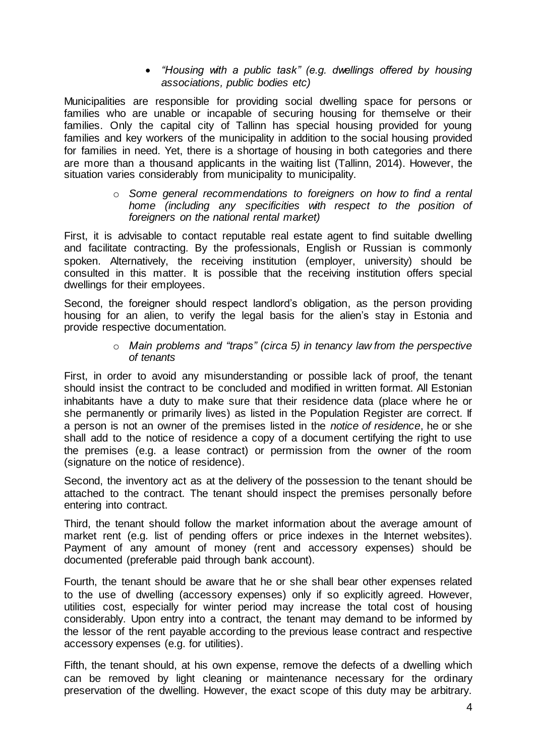*"Housing with a public task" (e.g. dwellings offered by housing associations, public bodies etc)*

Municipalities are responsible for providing social dwelling space for persons or families who are unable or incapable of securing housing for themselve or their families. Only the capital city of Tallinn has special housing provided for young families and key workers of the municipality in addition to the social housing provided for families in need. Yet, there is a shortage of housing in both categories and there are more than a thousand applicants in the waiting list (Tallinn, 2014). However, the situation varies considerably from municipality to municipality.

#### o *Some general recommendations to foreigners on how to find a rental home (including any specificities with respect to the position of foreigners on the national rental market)*

First, it is advisable to contact reputable real estate agent to find suitable dwelling and facilitate contracting. By the professionals, English or Russian is commonly spoken. Alternatively, the receiving institution (employer, university) should be consulted in this matter. It is possible that the receiving institution offers special dwellings for their employees.

Second, the foreigner should respect landlord's obligation, as the person providing housing for an alien, to verify the legal basis for the alien's stay in Estonia and provide respective documentation.

#### o *Main problems and "traps" (circa 5) in tenancy law from the perspective of tenants*

First, in order to avoid any misunderstanding or possible lack of proof, the tenant should insist the contract to be concluded and modified in written format. All Estonian inhabitants have a duty to make sure that their residence data (place where he or she permanently or primarily lives) as listed in the Population Register are correct. If a person is not an owner of the premises listed in the *notice of residence*, he or she shall add to the notice of residence a copy of a document certifying the right to use the premises (e.g. a lease contract) or permission from the owner of the room (signature on the notice of residence).

Second, the inventory act as at the delivery of the possession to the tenant should be attached to the contract. The tenant should inspect the premises personally before entering into contract.

Third, the tenant should follow the market information about the average amount of market rent (e.g. list of pending offers or price indexes in the Internet websites). Payment of any amount of money (rent and accessory expenses) should be documented (preferable paid through bank account).

Fourth, the tenant should be aware that he or she shall bear other expenses related to the use of dwelling (accessory expenses) only if so explicitly agreed. However, utilities cost, especially for winter period may increase the total cost of housing considerably. Upon entry into a contract, the tenant may demand to be informed by the lessor of the rent payable according to the previous lease contract and respective accessory expenses (e.g. for utilities).

Fifth, the tenant should, at his own expense, remove the defects of a dwelling which can be removed by light cleaning or maintenance necessary for the ordinary preservation of the dwelling. However, the exact scope of this duty may be arbitrary.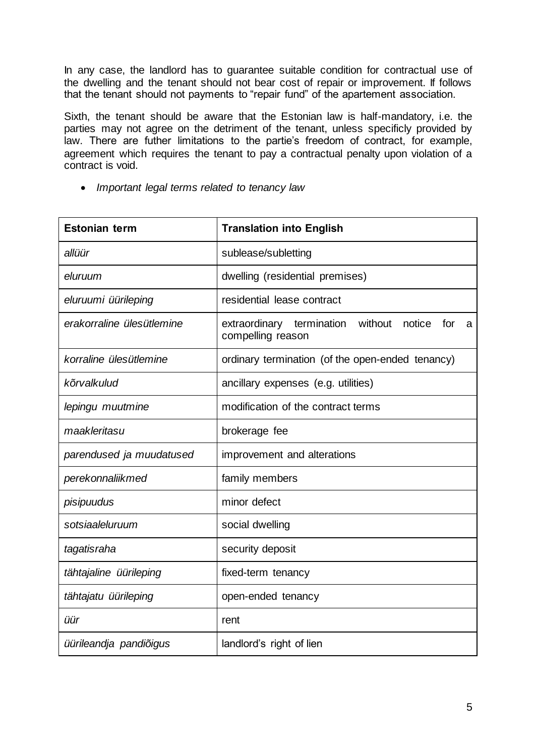In any case, the landlord has to guarantee suitable condition for contractual use of the dwelling and the tenant should not bear cost of repair or improvement. If follows that the tenant should not payments to "repair fund" of the apartement association.

Sixth, the tenant should be aware that the Estonian law is half-mandatory, i.e. the parties may not agree on the detriment of the tenant, unless specificly provided by law. There are futher limitations to the partie's freedom of contract, for example, agreement which requires the tenant to pay a contractual penalty upon violation of a contract is void.

*Important legal terms related to tenancy law*

| <b>Estonian term</b>      | <b>Translation into English</b>                                                 |
|---------------------------|---------------------------------------------------------------------------------|
| allüür                    | sublease/subletting                                                             |
| eluruum                   | dwelling (residential premises)                                                 |
| eluruumi üürileping       | residential lease contract                                                      |
| erakorraline ülesütlemine | without<br>extraordinary termination<br>notice<br>for<br>a<br>compelling reason |
| korraline ülesütlemine    | ordinary termination (of the open-ended tenancy)                                |
| kõrvalkulud               | ancillary expenses (e.g. utilities)                                             |
| lepingu muutmine          | modification of the contract terms                                              |
| maakleritasu              | brokerage fee                                                                   |
| parendused ja muudatused  | improvement and alterations                                                     |
| perekonnaliikmed          | family members                                                                  |
| pisipuudus                | minor defect                                                                    |
| sotsiaaleluruum           | social dwelling                                                                 |
| tagatisraha               | security deposit                                                                |
| tähtajaline üürileping    | fixed-term tenancy                                                              |
| tähtajatu üürileping      | open-ended tenancy                                                              |
| üür                       | rent                                                                            |
| üürileandja pandiõigus    | landlord's right of lien                                                        |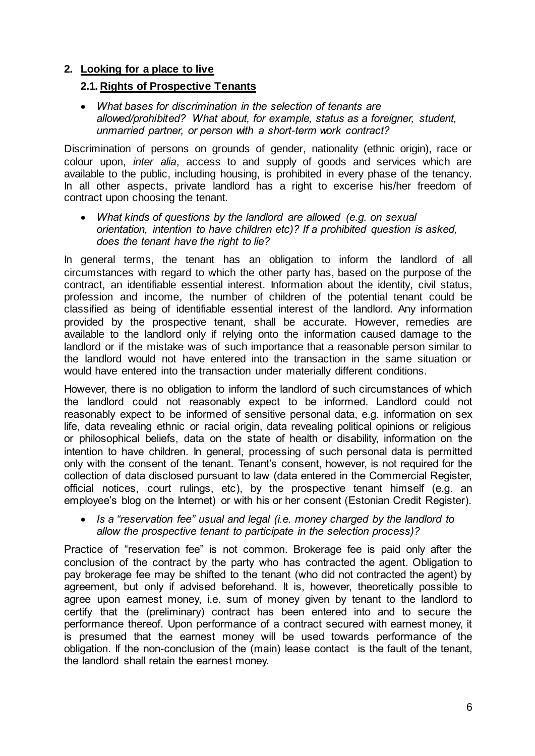# <span id="page-5-1"></span><span id="page-5-0"></span>**2. Looking for a place to live**

# **2.1. Rights of Prospective Tenants**

 *What bases for discrimination in the selection of tenants are allowed/prohibited? What about, for example, status as a foreigner, student, unmarried partner, or person with a short-term work contract?*

Discrimination of persons on grounds of gender, nationality (ethnic origin), race or colour upon, *inter alia*, access to and supply of goods and services which are available to the public, including housing, is prohibited in every phase of the tenancy. In all other aspects, private landlord has a right to excerise his/her freedom of contract upon choosing the tenant.

 *What kinds of questions by the landlord are allowed (e.g. on sexual orientation, intention to have children etc)? If a prohibited question is asked, does the tenant have the right to lie?*

In general terms, the tenant has an obligation to inform the landlord of all circumstances with regard to which the other party has, based on the purpose of the contract, an identifiable essential interest. Information about the identity, civil status, profession and income, the number of children of the potential tenant could be classified as being of identifiable essential interest of the landlord. Any information provided by the prospective tenant, shall be accurate. However, remedies are available to the landlord only if relying onto the information caused damage to the landlord or if the mistake was of such importance that a reasonable person similar to the landlord would not have entered into the transaction in the same situation or would have entered into the transaction under materially different conditions.

However, there is no obligation to inform the landlord of such circumstances of which the landlord could not reasonably expect to be informed. Landlord could not reasonably expect to be informed of sensitive personal data, e.g. information on sex life, data revealing ethnic or racial origin, data revealing political opinions or religious or philosophical beliefs, data on the state of health or disability, information on the intention to have children. In general, processing of such personal data is permitted only with the consent of the tenant. Tenant's consent, however, is not required for the collection of data disclosed pursuant to law (data entered in the Commercial Register, official notices, court rulings, etc), by the prospective tenant himself (e.g. an employee's blog on the Internet) or with his or her consent (Estonian Credit Register).

 *Is a "reservation fee" usual and legal (i.e. money charged by the landlord to allow the prospective tenant to participate in the selection process)?*

Practice of "reservation fee" is not common. Brokerage fee is paid only after the conclusion of the contract by the party who has contracted the agent. Obligation to pay brokerage fee may be shifted to the tenant (who did not contracted the agent) by agreement, but only if advised beforehand. It is, however, theoretically possible to agree upon earnest money, i.e. sum of money given by tenant to the landlord to certify that the (preliminary) contract has been entered into and to secure the performance thereof. Upon performance of a contract secured with earnest money, it is presumed that the earnest money will be used towards performance of the obligation. If the non-conclusion of the (main) lease contact is the fault of the tenant, the landlord shall retain the earnest money.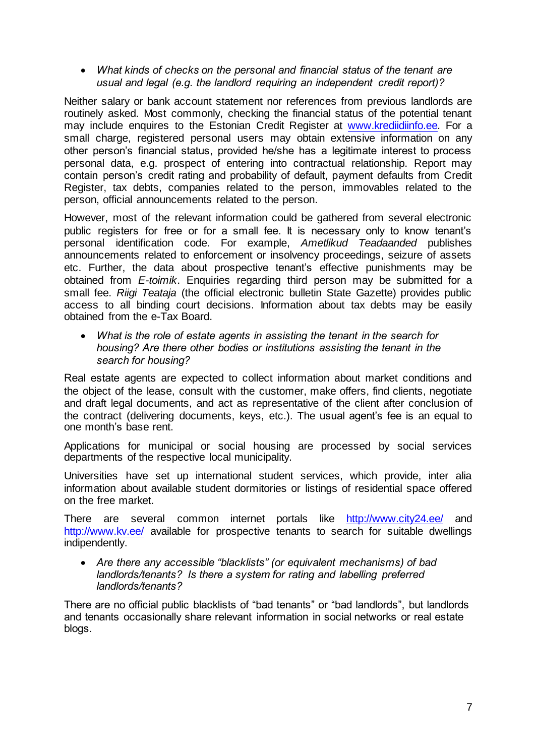*What kinds of checks on the personal and financial status of the tenant are usual and legal (e.g. the landlord requiring an independent credit report)?*

Neither salary or bank account statement nor references from previous landlords are routinely asked. Most commonly, checking the financial status of the potential tenant may include enquires to the Estonian Credit Register at [www.krediidiinfo.ee](http://www.krediidiinfo.ee/)*.* For a small charge, registered personal users may obtain extensive information on any other person's financial status, provided he/she has a legitimate interest to process personal data, e.g. prospect of entering into contractual relationship. Report may contain person's credit rating and probability of default, payment defaults from Credit Register, tax debts, companies related to the person, immovables related to the person, official announcements related to the person.

However, most of the relevant information could be gathered from several electronic public registers for free or for a small fee. It is necessary only to know tenant's personal identification code. For example, *Ametlikud Teadaanded* publishes announcements related to enforcement or insolvency proceedings, seizure of assets etc. Further, the data about prospective tenant's effective punishments may be obtained from *E-toimik*. Enquiries regarding third person may be submitted for a small fee. *Riigi Teataja* (the official electronic bulletin State Gazette) provides public access to all binding court decisions. Information about tax debts may be easily obtained from the e-Tax Board.

 *What is the role of estate agents in assisting the tenant in the search for housing? Are there other bodies or institutions assisting the tenant in the search for housing?*

Real estate agents are expected to collect information about market conditions and the object of the lease, consult with the customer, make offers, find clients, negotiate and draft legal documents, and act as representative of the client after conclusion of the contract (delivering documents, keys, etc.). The usual agent's fee is an equal to one month's base rent.

Applications for municipal or social housing are processed by social services departments of the respective local municipality.

Universities have set up international student services, which provide, inter alia information about available student dormitories or listings of residential space offered on the free market.

There are several common internet portals like <http://www.city24.ee/> and <http://www.kv.ee/> available for prospective tenants to search for suitable dwellings indipendently.

 *Are there any accessible "blacklists" (or equivalent mechanisms) of bad landlords/tenants? Is there a system for rating and labelling preferred landlords/tenants?*

<span id="page-6-0"></span>There are no official public blacklists of "bad tenants" or "bad landlords", but landlords and tenants occasionally share relevant information in social networks or real estate blogs.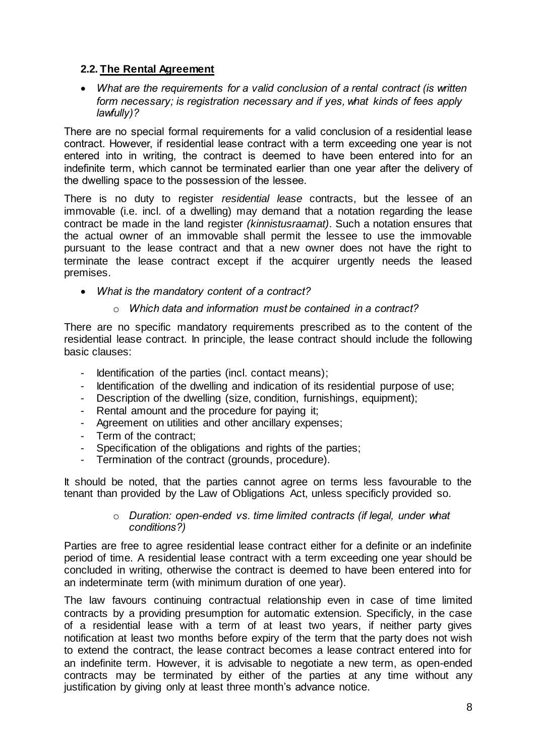# **2.2. The Rental Agreement**

 *What are the requirements for a valid conclusion of a rental contract (is written form necessary; is registration necessary and if yes, what kinds of fees apply lawfully)?*

There are no special formal requirements for a valid conclusion of a residential lease contract. However, if residential lease contract with a term exceeding one year is not entered into in writing, the contract is deemed to have been entered into for an indefinite term, which cannot be terminated earlier than one year after the delivery of the dwelling space to the possession of the lessee.

There is no duty to register *residential lease* contracts, but the lessee of an immovable (i.e. incl. of a dwelling) may demand that a notation regarding the lease contract be made in the land register *(kinnistusraamat)*. Such a notation ensures that the actual owner of an immovable shall permit the lessee to use the immovable pursuant to the lease contract and that a new owner does not have the right to terminate the lease contract except if the acquirer urgently needs the leased premises.

*What is the mandatory content of a contract?*

# o *Which data and information must be contained in a contract?*

There are no specific mandatory requirements prescribed as to the content of the residential lease contract. In principle, the lease contract should include the following basic clauses:

- Identification of the parties (incl. contact means);
- Identification of the dwelling and indication of its residential purpose of use;
- Description of the dwelling (size, condition, furnishings, equipment);
- Rental amount and the procedure for paying it;
- Agreement on utilities and other ancillary expenses;
- Term of the contract;
- Specification of the obligations and rights of the parties;
- Termination of the contract (grounds, procedure).

It should be noted, that the parties cannot agree on terms less favourable to the tenant than provided by the Law of Obligations Act, unless specificly provided so.

#### o *Duration: open-ended vs. time limited contracts (if legal, under what conditions?)*

Parties are free to agree residential lease contract either for a definite or an indefinite period of time. A residential lease contract with a term exceeding one year should be concluded in writing, otherwise the contract is deemed to have been entered into for an indeterminate term (with minimum duration of one year).

The law favours continuing contractual relationship even in case of time limited contracts by a providing presumption for automatic extension. Specificly, in the case of a residential lease with a term of at least two years, if neither party gives notification at least two months before expiry of the term that the party does not wish to extend the contract, the lease contract becomes a lease contract entered into for an indefinite term. However, it is advisable to negotiate a new term, as open-ended contracts may be terminated by either of the parties at any time without any justification by giving only at least three month's advance notice.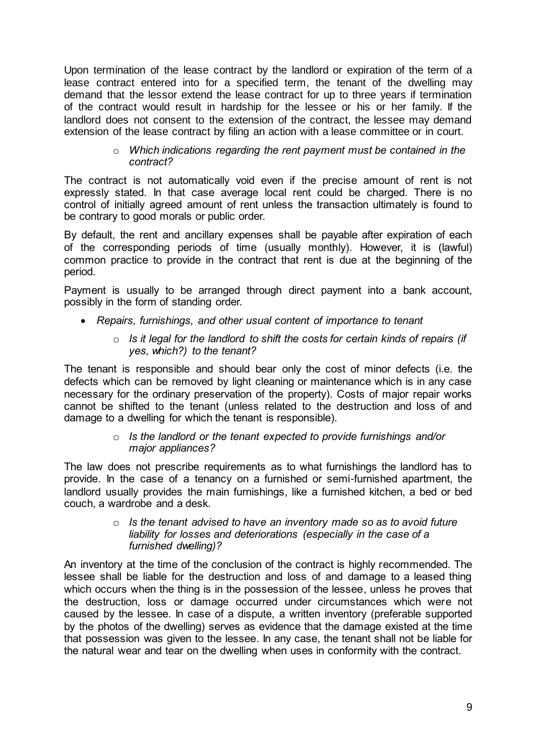Upon termination of the lease contract by the landlord or expiration of the term of a lease contract entered into for a specified term, the tenant of the dwelling may demand that the lessor extend the lease contract for up to three years if termination of the contract would result in hardship for the lessee or his or her family. If the landlord does not consent to the extension of the contract, the lessee may demand extension of the lease contract by filing an action with a lease committee or in court.

#### o *Which indications regarding the rent payment must be contained in the contract?*

The contract is not automatically void even if the precise amount of rent is not expressly stated. In that case average local rent could be charged. There is no control of initially agreed amount of rent unless the transaction ultimately is found to be contrary to good morals or public order.

By default, the rent and ancillary expenses shall be payable after expiration of each of the corresponding periods of time (usually monthly). However, it is (lawful) common practice to provide in the contract that rent is due at the beginning of the period.

Payment is usually to be arranged through direct payment into a bank account, possibly in the form of standing order.

- *Repairs, furnishings, and other usual content of importance to tenant*
	- o *Is it legal for the landlord to shift the costs for certain kinds of repairs (if yes, which?) to the tenant?*

The tenant is responsible and should bear only the cost of minor defects (i.e. the defects which can be removed by light cleaning or maintenance which is in any case necessary for the ordinary preservation of the property). Costs of major repair works cannot be shifted to the tenant (unless related to the destruction and loss of and damage to a dwelling for which the tenant is responsible).

# o *Is the landlord or the tenant expected to provide furnishings and/or major appliances?*

The law does not prescribe requirements as to what furnishings the landlord has to provide. In the case of a tenancy on a furnished or semi-furnished apartment, the landlord usually provides the main furnishings, like a furnished kitchen, a bed or bed couch, a wardrobe and a desk.

#### o *Is the tenant advised to have an inventory made so as to avoid future liability for losses and deteriorations (especially in the case of a furnished dwelling)?*

An inventory at the time of the conclusion of the contract is highly recommended. The lessee shall be liable for the destruction and loss of and damage to a leased thing which occurs when the thing is in the possession of the lessee, unless he proves that the destruction, loss or damage occurred under circumstances which were not caused by the lessee. In case of a dispute, a written inventory (preferable supported by the photos of the dwelling) serves as evidence that the damage existed at the time that possession was given to the lessee. In any case, the tenant shall not be liable for the natural wear and tear on the dwelling when uses in conformity with the contract.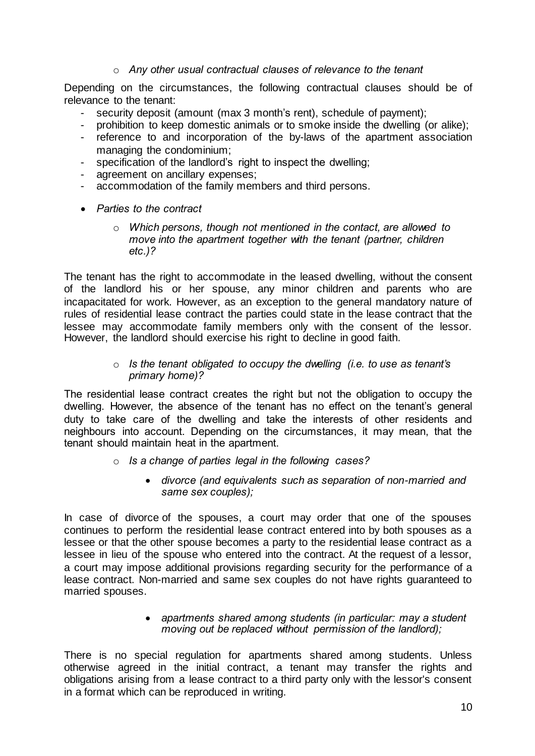# o *Any other usual contractual clauses of relevance to the tenant*

Depending on the circumstances, the following contractual clauses should be of relevance to the tenant:

- security deposit (amount (max 3 month's rent), schedule of payment);
- prohibition to keep domestic animals or to smoke inside the dwelling (or alike);
- reference to and incorporation of the by-laws of the apartment association managing the condominium;
- specification of the landlord's right to inspect the dwelling;
- agreement on ancillary expenses;
- accommodation of the family members and third persons.
- *Parties to the contract*
	- o *Which persons, though not mentioned in the contact, are allowed to move into the apartment together with the tenant (partner, children etc.)?*

The tenant has the right to accommodate in the leased dwelling, without the consent of the landlord his or her spouse, any minor children and parents who are incapacitated for work. However, as an exception to the general mandatory nature of rules of residential lease contract the parties could state in the lease contract that the lessee may accommodate family members only with the consent of the lessor. However, the landlord should exercise his right to decline in good faith.

#### o *Is the tenant obligated to occupy the dwelling (i.e. to use as tenant's primary home)?*

The residential lease contract creates the right but not the obligation to occupy the dwelling. However, the absence of the tenant has no effect on the tenant's general duty to take care of the dwelling and take the interests of other residents and neighbours into account. Depending on the circumstances, it may mean, that the tenant should maintain heat in the apartment.

- o *Is a change of parties legal in the following cases?*
	- *divorce (and equivalents such as separation of non-married and same sex couples);*

In case of divorce of the spouses, a court may order that one of the spouses continues to perform the residential lease contract entered into by both spouses as a lessee or that the other spouse becomes a party to the residential lease contract as a lessee in lieu of the spouse who entered into the contract. At the request of a lessor, a court may impose additional provisions regarding security for the performance of a lease contract. Non-married and same sex couples do not have rights guaranteed to married spouses.

#### *apartments shared among students (in particular: may a student moving out be replaced without permission of the landlord);*

There is no special regulation for apartments shared among students. Unless otherwise agreed in the initial contract, a tenant may transfer the rights and obligations arising from a lease contract to a third party only with the lessor's consent in a format which can be reproduced in writing.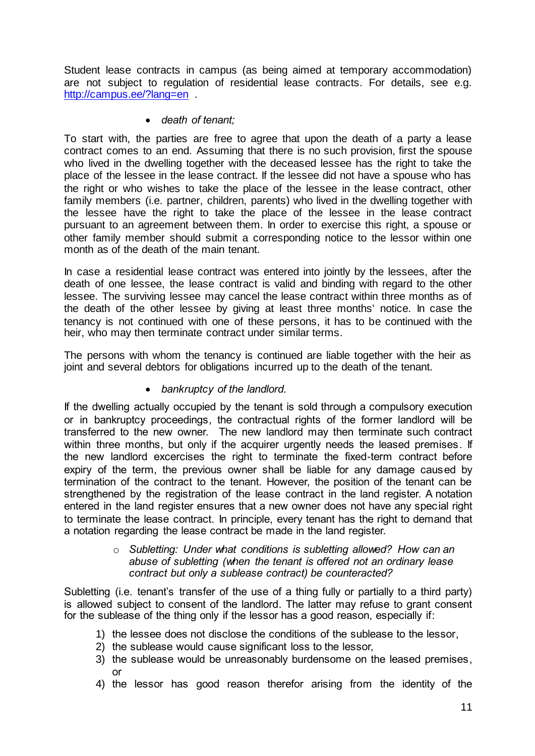Student lease contracts in campus (as being aimed at temporary accommodation) are not subject to regulation of residential lease contracts. For details, see e.g. <http://campus.ee/?lang=en> .

# *death of tenant;*

To start with, the parties are free to agree that upon the death of a party a lease contract comes to an end. Assuming that there is no such provision, first the spouse who lived in the dwelling together with the deceased lessee has the right to take the place of the lessee in the lease contract. If the lessee did not have a spouse who has the right or who wishes to take the place of the lessee in the lease contract, other family members (i.e. partner, children, parents) who lived in the dwelling together with the lessee have the right to take the place of the lessee in the lease contract pursuant to an agreement between them. In order to exercise this right, a spouse or other family member should submit a corresponding notice to the lessor within one month as of the death of the main tenant.

In case a residential lease contract was entered into jointly by the lessees, after the death of one lessee, the lease contract is valid and binding with regard to the other lessee. The surviving lessee may cancel the lease contract within three months as of the death of the other lessee by giving at least three months' notice. In case the tenancy is not continued with one of these persons, it has to be continued with the heir, who may then terminate contract under similar terms.

The persons with whom the tenancy is continued are liable together with the heir as joint and several debtors for obligations incurred up to the death of the tenant.

# *bankruptcy of the landlord.*

If the dwelling actually occupied by the tenant is sold through a compulsory execution or in bankruptcy proceedings, the contractual rights of the former landlord will be transferred to the new owner. The new landlord may then terminate such contract within three months, but only if the acquirer urgently needs the leased premises. If the new landlord excercises the right to terminate the fixed-term contract before expiry of the term, the previous owner shall be liable for any damage caused by termination of the contract to the tenant. However, the position of the tenant can be strengthened by the registration of the lease contract in the land register. A notation entered in the land register ensures that a new owner does not have any special right to terminate the lease contract. In principle, every tenant has the right to demand that a notation regarding the lease contract be made in the land register.

#### o *Subletting: Under what conditions is subletting allowed? How can an abuse of subletting (when the tenant is offered not an ordinary lease contract but only a sublease contract) be counteracted?*

Subletting (i.e. tenant's transfer of the use of a thing fully or partially to a third party) is allowed subject to consent of the landlord. The latter may refuse to grant consent for the sublease of the thing only if the lessor has a good reason, especially if:

- 1) the lessee does not disclose the conditions of the sublease to the lessor,
- 2) the sublease would cause significant loss to the lessor,
- 3) the sublease would be unreasonably burdensome on the leased premises, or
- 4) the lessor has good reason therefor arising from the identity of the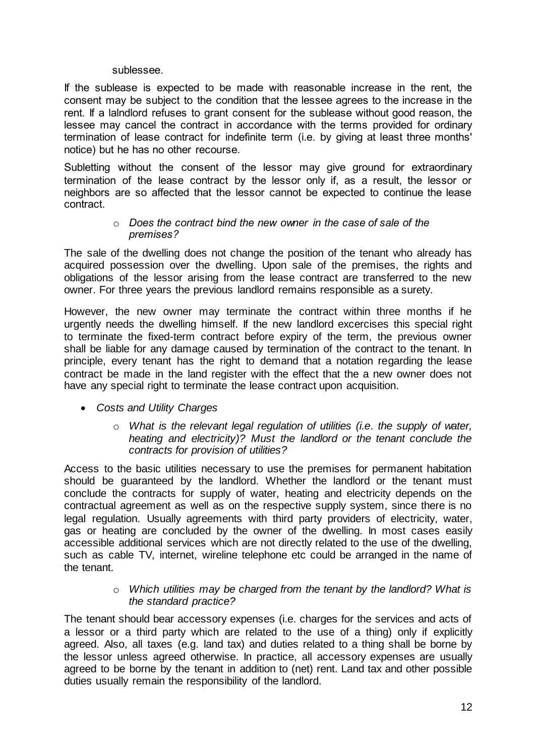#### sublessee.

If the sublease is expected to be made with reasonable increase in the rent, the consent may be subject to the condition that the lessee agrees to the increase in the rent. If a lalndlord refuses to grant consent for the sublease without good reason, the lessee may cancel the contract in accordance with the terms provided for ordinary termination of lease contract for indefinite term (i.e. by giving at least three months' notice) but he has no other recourse.

Subletting without the consent of the lessor may give ground for extraordinary termination of the lease contract by the lessor only if, as a result, the lessor or neighbors are so affected that the lessor cannot be expected to continue the lease contract.

#### o *Does the contract bind the new owner in the case of sale of the premises?*

The sale of the dwelling does not change the position of the tenant who already has acquired possession over the dwelling. Upon sale of the premises, the rights and obligations of the lessor arising from the lease contract are transferred to the new owner. For three years the previous landlord remains responsible as a surety.

However, the new owner may terminate the contract within three months if he urgently needs the dwelling himself. If the new landlord excercises this special right to terminate the fixed-term contract before expiry of the term, the previous owner shall be liable for any damage caused by termination of the contract to the tenant. In principle, every tenant has the right to demand that a notation regarding the lease contract be made in the land register with the effect that the a new owner does not have any special right to terminate the lease contract upon acquisition.

- *Costs and Utility Charges*
	- o *What is the relevant legal regulation of utilities (i.e. the supply of water, heating and electricity)? Must the landlord or the tenant conclude the contracts for provision of utilities?*

Access to the basic utilities necessary to use the premises for permanent habitation should be guaranteed by the landlord. Whether the landlord or the tenant must conclude the contracts for supply of water, heating and electricity depends on the contractual agreement as well as on the respective supply system, since there is no legal regulation. Usually agreements with third party providers of electricity, water, gas or heating are concluded by the owner of the dwelling. In most cases easily accessible additional services which are not directly related to the use of the dwelling, such as cable TV, internet, wireline telephone etc could be arranged in the name of the tenant.

# o *Which utilities may be charged from the tenant by the landlord? What is the standard practice?*

The tenant should bear accessory expenses (i.e. charges for the services and acts of a lessor or a third party which are related to the use of a thing) only if explicitly agreed. Also, all taxes (e.g. land tax) and duties related to a thing shall be borne by the lessor unless agreed otherwise. In practice, all accessory expenses are usually agreed to be borne by the tenant in addition to (net) rent. Land tax and other possible duties usually remain the responsibility of the landlord.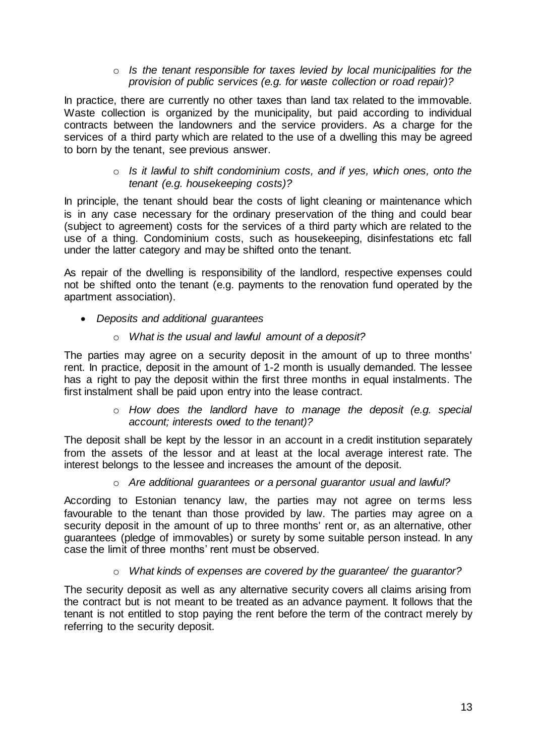#### o *Is the tenant responsible for taxes levied by local municipalities for the provision of public services (e.g. for waste collection or road repair)?*

In practice, there are currently no other taxes than land tax related to the immovable. Waste collection is organized by the municipality, but paid according to individual contracts between the landowners and the service providers. As a charge for the services of a third party which are related to the use of a dwelling this may be agreed to born by the tenant, see previous answer.

#### o *Is it lawful to shift condominium costs, and if yes, which ones, onto the tenant (e.g. housekeeping costs)?*

In principle, the tenant should bear the costs of light cleaning or maintenance which is in any case necessary for the ordinary preservation of the thing and could bear (subject to agreement) costs for the services of a third party which are related to the use of a thing. Condominium costs, such as housekeeping, disinfestations etc fall under the latter category and may be shifted onto the tenant.

As repair of the dwelling is responsibility of the landlord, respective expenses could not be shifted onto the tenant (e.g. payments to the renovation fund operated by the apartment association).

*Deposits and additional guarantees*

# o *What is the usual and lawful amount of a deposit?*

The parties may agree on a security deposit in the amount of up to three months' rent. In practice, deposit in the amount of 1-2 month is usually demanded. The lessee has a right to pay the deposit within the first three months in equal instalments. The first instalment shall be paid upon entry into the lease contract.

# o *How does the landlord have to manage the deposit (e.g. special account; interests owed to the tenant)?*

The deposit shall be kept by the lessor in an account in a credit institution separately from the assets of the lessor and at least at the local average interest rate. The interest belongs to the lessee and increases the amount of the deposit.

# o *Are additional guarantees or a personal guarantor usual and lawful?*

According to Estonian tenancy law, the parties may not agree on terms less favourable to the tenant than those provided by law. The parties may agree on a security deposit in the amount of up to three months' rent or, as an alternative, other guarantees (pledge of immovables) or surety by some suitable person instead. In any case the limit of three months' rent must be observed.

# o *What kinds of expenses are covered by the guarantee/ the guarantor?*

The security deposit as well as any alternative security covers all claims arising from the contract but is not meant to be treated as an advance payment. It follows that the tenant is not entitled to stop paying the rent before the term of the contract merely by referring to the security deposit.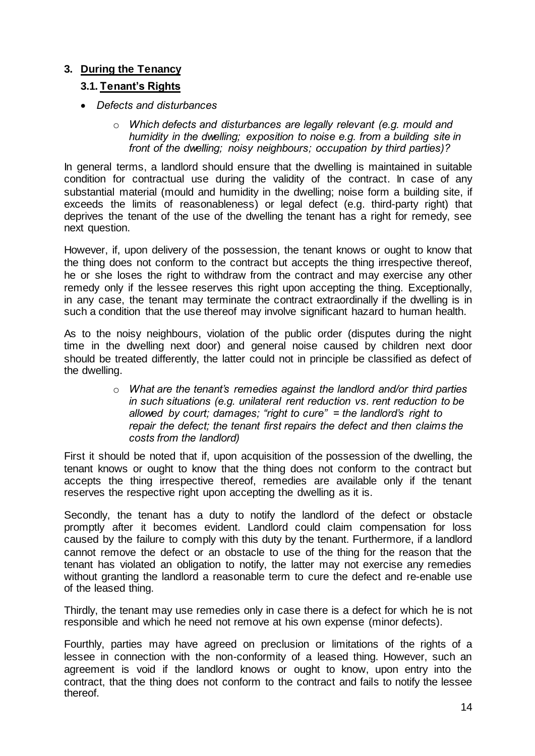# <span id="page-13-0"></span>**3. During the Tenancy**

# <span id="page-13-1"></span>**3.1. Tenant's Rights**

- *Defects and disturbances* 
	- o *Which defects and disturbances are legally relevant (e.g. mould and humidity in the dwelling; exposition to noise e.g. from a building site in front of the dwelling; noisy neighbours; occupation by third parties)?*

In general terms, a landlord should ensure that the dwelling is maintained in suitable condition for contractual use during the validity of the contract. In case of any substantial material (mould and humidity in the dwelling; noise form a building site, if exceeds the limits of reasonableness) or legal defect (e.g. third-party right) that deprives the tenant of the use of the dwelling the tenant has a right for remedy, see next question.

However, if, upon delivery of the possession, the tenant knows or ought to know that the thing does not conform to the contract but accepts the thing irrespective thereof, he or she loses the right to withdraw from the contract and may exercise any other remedy only if the lessee reserves this right upon accepting the thing. Exceptionally, in any case, the tenant may terminate the contract extraordinally if the dwelling is in such a condition that the use thereof may involve significant hazard to human health.

As to the noisy neighbours, violation of the public order (disputes during the night time in the dwelling next door) and general noise caused by children next door should be treated differently, the latter could not in principle be classified as defect of the dwelling.

> o *What are the tenant's remedies against the landlord and/or third parties in such situations (e.g. unilateral rent reduction vs. rent reduction to be allowed by court; damages; "right to cure" = the landlord's right to repair the defect; the tenant first repairs the defect and then claims the costs from the landlord)*

First it should be noted that if, upon acquisition of the possession of the dwelling, the tenant knows or ought to know that the thing does not conform to the contract but accepts the thing irrespective thereof, remedies are available only if the tenant reserves the respective right upon accepting the dwelling as it is.

Secondly, the tenant has a duty to notify the landlord of the defect or obstacle promptly after it becomes evident. Landlord could claim compensation for loss caused by the failure to comply with this duty by the tenant. Furthermore, if a landlord cannot remove the defect or an obstacle to use of the thing for the reason that the tenant has violated an obligation to notify, the latter may not exercise any remedies without granting the landlord a reasonable term to cure the defect and re-enable use of the leased thing.

Thirdly, the tenant may use remedies only in case there is a defect for which he is not responsible and which he need not remove at his own expense (minor defects).

Fourthly, parties may have agreed on preclusion or limitations of the rights of a lessee in connection with the non-conformity of a leased thing. However, such an agreement is void if the landlord knows or ought to know, upon entry into the contract, that the thing does not conform to the contract and fails to notify the lessee thereof.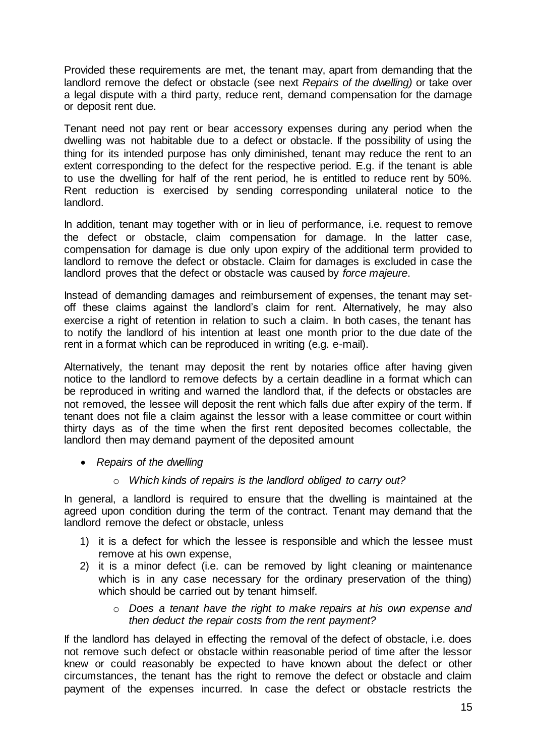Provided these requirements are met, the tenant may, apart from demanding that the landlord remove the defect or obstacle (see next *Repairs of the dwelling)* or take over a legal dispute with a third party, reduce rent, demand compensation for the damage or deposit rent due.

Tenant need not pay rent or bear accessory expenses during any period when the dwelling was not habitable due to a defect or obstacle. If the possibility of using the thing for its intended purpose has only diminished, tenant may reduce the rent to an extent corresponding to the defect for the respective period. E.g. if the tenant is able to use the dwelling for half of the rent period, he is entitled to reduce rent by 50%. Rent reduction is exercised by sending corresponding unilateral notice to the landlord.

In addition, tenant may together with or in lieu of performance, i.e. request to remove the defect or obstacle, claim compensation for damage. In the latter case, compensation for damage is due only upon expiry of the additional term provided to landlord to remove the defect or obstacle. Claim for damages is excluded in case the landlord proves that the defect or obstacle was caused by *force majeure*.

Instead of demanding damages and reimbursement of expenses, the tenant may setoff these claims against the landlord's claim for rent. Alternatively, he may also exercise a right of retention in relation to such a claim. In both cases, the tenant has to notify the landlord of his intention at least one month prior to the due date of the rent in a format which can be reproduced in writing (e.g. e-mail).

Alternatively, the tenant may deposit the rent by notaries office after having given notice to the landlord to remove defects by a certain deadline in a format which can be reproduced in writing and warned the landlord that, if the defects or obstacles are not removed, the lessee will deposit the rent which falls due after expiry of the term. If tenant does not file a claim against the lessor with a lease committee or court within thirty days as of the time when the first rent deposited becomes collectable, the landlord then may demand payment of the deposited amount

- *Repairs of the dwelling*
	- o *Which kinds of repairs is the landlord obliged to carry out?*

In general, a landlord is required to ensure that the dwelling is maintained at the agreed upon condition during the term of the contract. Tenant may demand that the landlord remove the defect or obstacle, unless

- 1) it is a defect for which the lessee is responsible and which the lessee must remove at his own expense,
- 2) it is a minor defect (i.e. can be removed by light cleaning or maintenance which is in any case necessary for the ordinary preservation of the thing) which should be carried out by tenant himself.
	- o *Does a tenant have the right to make repairs at his own expense and then deduct the repair costs from the rent payment?*

If the landlord has delayed in effecting the removal of the defect of obstacle, i.e. does not remove such defect or obstacle within reasonable period of time after the lessor knew or could reasonably be expected to have known about the defect or other circumstances, the tenant has the right to remove the defect or obstacle and claim payment of the expenses incurred. In case the defect or obstacle restricts the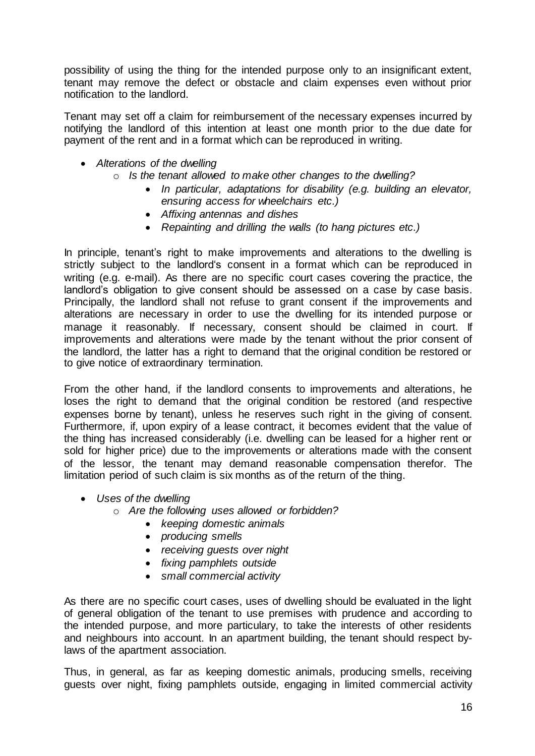possibility of using the thing for the intended purpose only to an insignificant extent, tenant may remove the defect or obstacle and claim expenses even without prior notification to the landlord.

Tenant may set off a claim for reimbursement of the necessary expenses incurred by notifying the landlord of this intention at least one month prior to the due date for payment of the rent and in a format which can be reproduced in writing.

- *Alterations of the dwelling*
	- o *Is the tenant allowed to make other changes to the dwelling?*
		- *In particular, adaptations for disability (e.g. building an elevator, ensuring access for wheelchairs etc.)*
		- *Affixing antennas and dishes*
		- *Repainting and drilling the walls (to hang pictures etc.)*

In principle, tenant's right to make improvements and alterations to the dwelling is strictly subject to the landlord's consent in a format which can be reproduced in writing (e.g. e-mail). As there are no specific court cases covering the practice, the landlord's obligation to give consent should be assessed on a case by case basis. Principally, the landlord shall not refuse to grant consent if the improvements and alterations are necessary in order to use the dwelling for its intended purpose or manage it reasonably. If necessary, consent should be claimed in court. If improvements and alterations were made by the tenant without the prior consent of the landlord, the latter has a right to demand that the original condition be restored or to give notice of extraordinary termination.

From the other hand, if the landlord consents to improvements and alterations, he loses the right to demand that the original condition be restored (and respective expenses borne by tenant), unless he reserves such right in the giving of consent. Furthermore, if, upon expiry of a lease contract, it becomes evident that the value of the thing has increased considerably (i.e. dwelling can be leased for a higher rent or sold for higher price) due to the improvements or alterations made with the consent of the lessor, the tenant may demand reasonable compensation therefor. The limitation period of such claim is six months as of the return of the thing.

- *Uses of the dwelling*
	- o *Are the following uses allowed or forbidden?*
		- *keeping domestic animals*
		- *producing smells*
		- *receiving guests over night*
		- *fixing pamphlets outside*
		- *small commercial activity*

As there are no specific court cases, uses of dwelling should be evaluated in the light of general obligation of the tenant to use premises with prudence and according to the intended purpose, and more particulary, to take the interests of other residents and neighbours into account. In an apartment building, the tenant should respect bylaws of the apartment association.

Thus, in general, as far as keeping domestic animals, producing smells, receiving guests over night, fixing pamphlets outside, engaging in limited commercial activity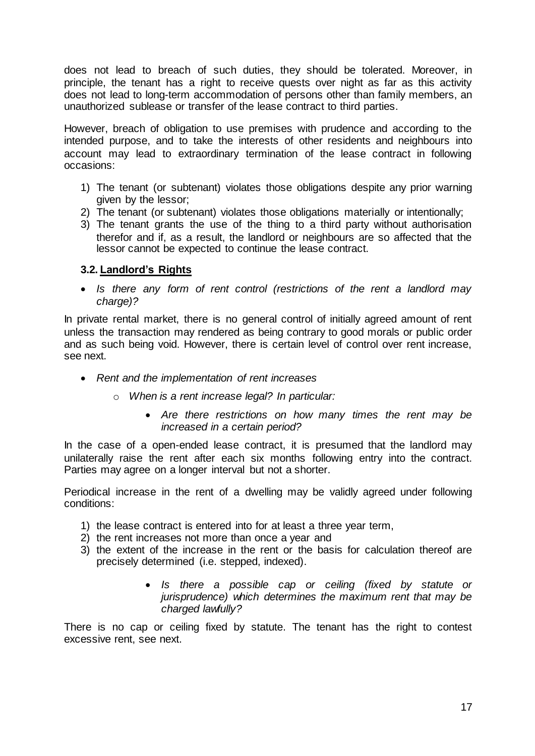does not lead to breach of such duties, they should be tolerated. Moreover, in principle, the tenant has a right to receive quests over night as far as this activity does not lead to long-term accommodation of persons other than family members, an unauthorized sublease or transfer of the lease contract to third parties.

However, breach of obligation to use premises with prudence and according to the intended purpose, and to take the interests of other residents and neighbours into account may lead to extraordinary termination of the lease contract in following occasions:

- 1) The tenant (or subtenant) violates those obligations despite any prior warning given by the lessor;
- 2) The tenant (or subtenant) violates those obligations materially or intentionally;
- 3) The tenant grants the use of the thing to a third party without authorisation therefor and if, as a result, the landlord or neighbours are so affected that the lessor cannot be expected to continue the lease contract.

# <span id="page-16-0"></span>**3.2. Landlord's Rights**

 *Is there any form of rent control (restrictions of the rent a landlord may charge)?*

In private rental market, there is no general control of initially agreed amount of rent unless the transaction may rendered as being contrary to good morals or public order and as such being void. However, there is certain level of control over rent increase, see next.

- *Rent and the implementation of rent increases*
	- o *When is a rent increase legal? In particular:*
		- *Are there restrictions on how many times the rent may be increased in a certain period?*

In the case of a open-ended lease contract, it is presumed that the landlord may unilaterally raise the rent after each six months following entry into the contract. Parties may agree on a longer interval but not a shorter.

Periodical increase in the rent of a dwelling may be validly agreed under following conditions:

- 1) the lease contract is entered into for at least a three year term,
- 2) the rent increases not more than once a year and
- 3) the extent of the increase in the rent or the basis for calculation thereof are precisely determined (i.e. stepped, indexed).
	- *Is there a possible cap or ceiling (fixed by statute or jurisprudence) which determines the maximum rent that may be charged lawfully?*

There is no cap or ceiling fixed by statute. The tenant has the right to contest excessive rent, see next.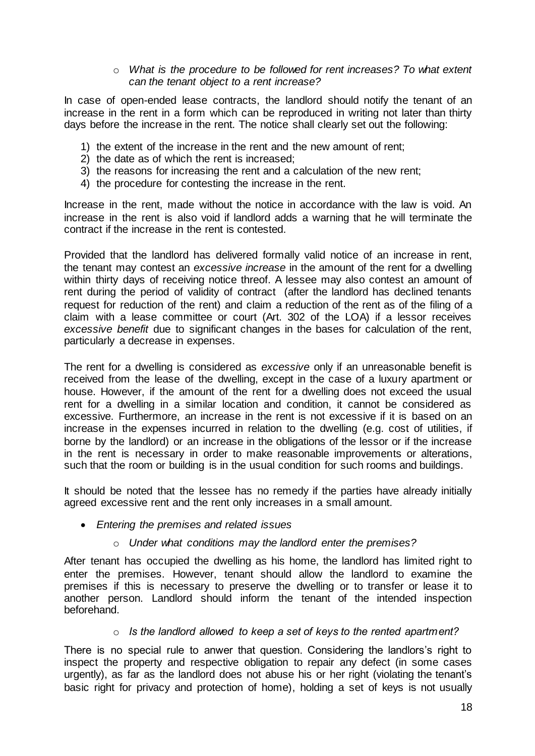# o *What is the procedure to be followed for rent increases? To what extent can the tenant object to a rent increase?*

In case of open-ended lease contracts, the landlord should notify the tenant of an increase in the rent in a form which can be reproduced in writing not later than thirty days before the increase in the rent. The notice shall clearly set out the following:

- 1) the extent of the increase in the rent and the new amount of rent;
- 2) the date as of which the rent is increased;
- 3) the reasons for increasing the rent and a calculation of the new rent;
- 4) the procedure for contesting the increase in the rent.

Increase in the rent, made without the notice in accordance with the law is void. An increase in the rent is also void if landlord adds a warning that he will terminate the contract if the increase in the rent is contested.

Provided that the landlord has delivered formally valid notice of an increase in rent, the tenant may contest an *excessive increase* in the amount of the rent for a dwelling within thirty days of receiving notice threof. A lessee may also contest an amount of rent during the period of validity of contract (after the landlord has declined tenants request for reduction of the rent) and claim a reduction of the rent as of the filing of a claim with a lease committee or court (Art. 302 of the LOA) if a lessor receives *excessive benefit* due to significant changes in the bases for calculation of the rent, particularly a decrease in expenses.

The rent for a dwelling is considered as *excessive* only if an unreasonable benefit is received from the lease of the dwelling, except in the case of a luxury apartment or house. However, if the amount of the rent for a dwelling does not exceed the usual rent for a dwelling in a similar location and condition, it cannot be considered as excessive. Furthermore, an increase in the rent is not excessive if it is based on an increase in the expenses incurred in relation to the dwelling (e.g. cost of utilities, if borne by the landlord) or an increase in the obligations of the lessor or if the increase in the rent is necessary in order to make reasonable improvements or alterations, such that the room or building is in the usual condition for such rooms and buildings.

It should be noted that the lessee has no remedy if the parties have already initially agreed excessive rent and the rent only increases in a small amount.

*Entering the premises and related issues*

# o *Under what conditions may the landlord enter the premises?*

After tenant has occupied the dwelling as his home, the landlord has limited right to enter the premises. However, tenant should allow the landlord to examine the premises if this is necessary to preserve the dwelling or to transfer or lease it to another person. Landlord should inform the tenant of the intended inspection beforehand.

#### o *Is the landlord allowed to keep a set of keys to the rented apartment?*

There is no special rule to anwer that question. Considering the landlors's right to inspect the property and respective obligation to repair any defect (in some cases urgently), as far as the landlord does not abuse his or her right (violating the tenant's basic right for privacy and protection of home), holding a set of keys is not usually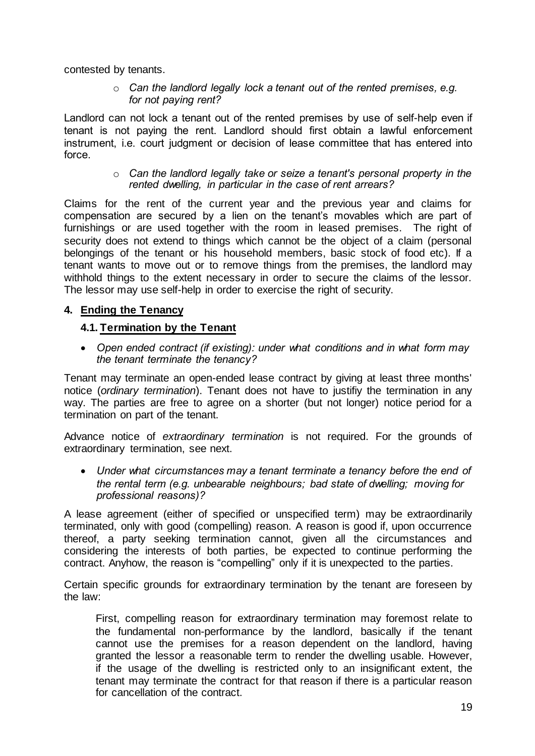contested by tenants.

o *Can the landlord legally lock a tenant out of the rented premises, e.g. for not paying rent?*

Landlord can not lock a tenant out of the rented premises by use of self-help even if tenant is not paying the rent. Landlord should first obtain a lawful enforcement instrument, i.e. court judgment or decision of lease committee that has entered into force.

#### o *Can the landlord legally take or seize a tenant's personal property in the rented dwelling, in particular in the case of rent arrears?*

Claims for the rent of the current year and the previous year and claims for compensation are secured by a lien on the tenant's movables which are part of furnishings or are used together with the room in leased premises. The right of security does not extend to things which cannot be the object of a claim (personal belongings of the tenant or his household members, basic stock of food etc). If a tenant wants to move out or to remove things from the premises, the landlord may withhold things to the extent necessary in order to secure the claims of the lessor. The lessor may use self-help in order to exercise the right of security.

# <span id="page-18-0"></span>**4. Ending the Tenancy**

# <span id="page-18-1"></span>**4.1. Termination by the Tenant**

 *Open ended contract (if existing): under what conditions and in what form may the tenant terminate the tenancy?*

Tenant may terminate an open-ended lease contract by giving at least three months' notice (*ordinary termination*). Tenant does not have to justifiy the termination in any way. The parties are free to agree on a shorter (but not longer) notice period for a termination on part of the tenant.

Advance notice of *extraordinary termination* is not required. For the grounds of extraordinary termination, see next.

 *Under what circumstances may a tenant terminate a tenancy before the end of the rental term (e.g. unbearable neighbours; bad state of dwelling; moving for professional reasons)?*

A lease agreement (either of specified or unspecified term) may be extraordinarily terminated, only with good (compelling) reason. A reason is good if, upon occurrence thereof, a party seeking termination cannot, given all the circumstances and considering the interests of both parties, be expected to continue performing the contract. Anyhow, the reason is "compelling" only if it is unexpected to the parties.

Certain specific grounds for extraordinary termination by the tenant are foreseen by the law:

First, compelling reason for extraordinary termination may foremost relate to the fundamental non-performance by the landlord, basically if the tenant cannot use the premises for a reason dependent on the landlord, having granted the lessor a reasonable term to render the dwelling usable. However, if the usage of the dwelling is restricted only to an insignificant extent, the tenant may terminate the contract for that reason if there is a particular reason for cancellation of the contract.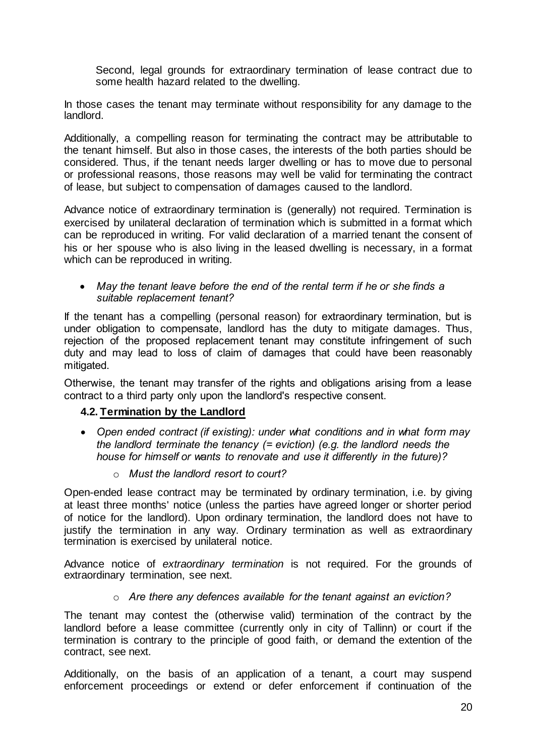Second, legal grounds for extraordinary termination of lease contract due to some health hazard related to the dwelling.

In those cases the tenant may terminate without responsibility for any damage to the landlord.

Additionally, a compelling reason for terminating the contract may be attributable to the tenant himself. But also in those cases, the interests of the both parties should be considered. Thus, if the tenant needs larger dwelling or has to move due to personal or professional reasons, those reasons may well be valid for terminating the contract of lease, but subject to compensation of damages caused to the landlord.

Advance notice of extraordinary termination is (generally) not required. Termination is exercised by unilateral declaration of termination which is submitted in a format which can be reproduced in writing. For valid declaration of a married tenant the consent of his or her spouse who is also living in the leased dwelling is necessary, in a format which can be reproduced in writing.

 *May the tenant leave before the end of the rental term if he or she finds a suitable replacement tenant?*

If the tenant has a compelling (personal reason) for extraordinary termination, but is under obligation to compensate, landlord has the duty to mitigate damages. Thus, rejection of the proposed replacement tenant may constitute infringement of such duty and may lead to loss of claim of damages that could have been reasonably mitigated.

Otherwise, the tenant may transfer of the rights and obligations arising from a lease contract to a third party only upon the landlord's respective consent.

# <span id="page-19-0"></span>**4.2. Termination by the Landlord**

- *Open ended contract (if existing): under what conditions and in what form may the landlord terminate the tenancy (= eviction) (e.g. the landlord needs the house for himself or wants to renovate and use it differently in the future)?*
	- o *Must the landlord resort to court?*

Open-ended lease contract may be terminated by ordinary termination, i.e. by giving at least three months' notice (unless the parties have agreed longer or shorter period of notice for the landlord). Upon ordinary termination, the landlord does not have to justify the termination in any way. Ordinary termination as well as extraordinary termination is exercised by unilateral notice.

Advance notice of *extraordinary termination* is not required. For the grounds of extraordinary termination, see next.

o *Are there any defences available for the tenant against an eviction?*

The tenant may contest the (otherwise valid) termination of the contract by the landlord before a lease committee (currently only in city of Tallinn) or court if the termination is contrary to the principle of good faith, or demand the extention of the contract, see next.

Additionally, on the basis of an application of a tenant, a court may suspend enforcement proceedings or extend or defer enforcement if continuation of the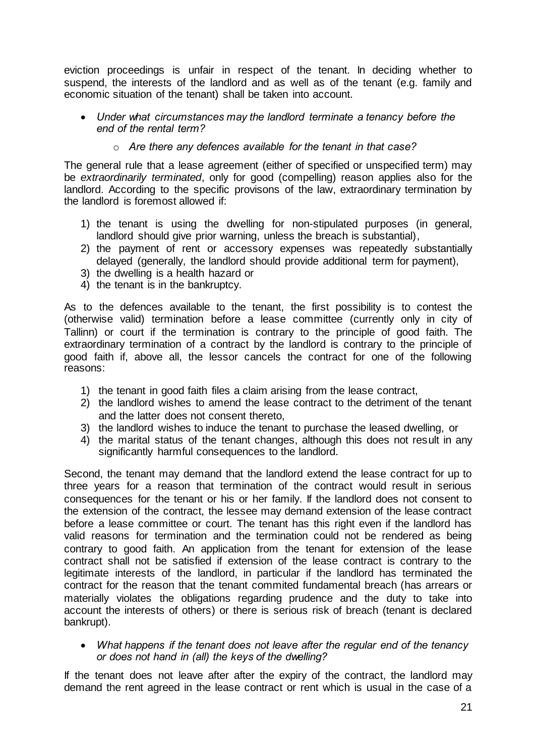eviction proceedings is unfair in respect of the tenant. In deciding whether to suspend, the interests of the landlord and as well as of the tenant (e.g. family and economic situation of the tenant) shall be taken into account.

- *Under what circumstances may the landlord terminate a tenancy before the end of the rental term?*
	- o *Are there any defences available for the tenant in that case?*

The general rule that a lease agreement (either of specified or unspecified term) may be *extraordinarily terminated*, only for good (compelling) reason applies also for the landlord. According to the specific provisons of the law, extraordinary termination by the landlord is foremost allowed if:

- 1) the tenant is using the dwelling for non-stipulated purposes (in general, landlord should give prior warning, unless the breach is substantial),
- 2) the payment of rent or accessory expenses was repeatedly substantially delayed (generally, the landlord should provide additional term for payment),
- 3) the dwelling is a health hazard or
- 4) the tenant is in the bankruptcy.

As to the defences available to the tenant, the first possibility is to contest the (otherwise valid) termination before a lease committee (currently only in city of Tallinn) or court if the termination is contrary to the principle of good faith. The extraordinary termination of a contract by the landlord is contrary to the principle of good faith if, above all, the lessor cancels the contract for one of the following reasons:

- 1) the tenant in good faith files a claim arising from the lease contract,
- 2) the landlord wishes to amend the lease contract to the detriment of the tenant and the latter does not consent thereto,
- 3) the landlord wishes to induce the tenant to purchase the leased dwelling, or
- 4) the marital status of the tenant changes, although this does not result in any significantly harmful consequences to the landlord.

Second, the tenant may demand that the landlord extend the lease contract for up to three years for a reason that termination of the contract would result in serious consequences for the tenant or his or her family. If the landlord does not consent to the extension of the contract, the lessee may demand extension of the lease contract before a lease committee or court. The tenant has this right even if the landlord has valid reasons for termination and the termination could not be rendered as being contrary to good faith. An application from the tenant for extension of the lease contract shall not be satisfied if extension of the lease contract is contrary to the legitimate interests of the landlord, in particular if the landlord has terminated the contract for the reason that the tenant commited fundamental breach (has arrears or materially violates the obligations regarding prudence and the duty to take into account the interests of others) or there is serious risk of breach (tenant is declared bankrupt).

 *What happens if the tenant does not leave after the regular end of the tenancy or does not hand in (all) the keys of the dwelling?*

If the tenant does not leave after after the expiry of the contract, the landlord may demand the rent agreed in the lease contract or rent which is usual in the case of a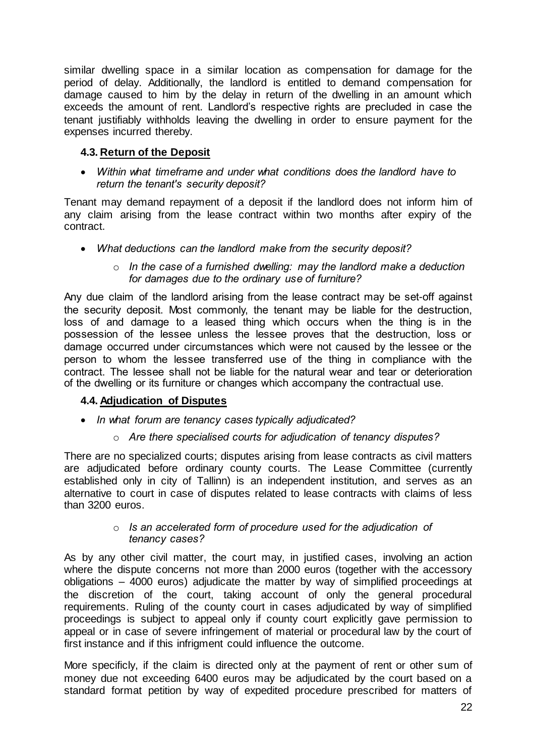similar dwelling space in a similar location as compensation for damage for the period of delay. Additionally, the landlord is entitled to demand compensation for damage caused to him by the delay in return of the dwelling in an amount which exceeds the amount of rent. Landlord's respective rights are precluded in case the tenant justifiably withholds leaving the dwelling in order to ensure payment for the expenses incurred thereby.

# <span id="page-21-0"></span>**4.3. Return of the Deposit**

 *Within what timeframe and under what conditions does the landlord have to return the tenant's security deposit?* 

Tenant may demand repayment of a deposit if the landlord does not inform him of any claim arising from the lease contract within two months after expiry of the contract.

- *What deductions can the landlord make from the security deposit?*
	- o *In the case of a furnished dwelling: may the landlord make a deduction for damages due to the ordinary use of furniture?*

Any due claim of the landlord arising from the lease contract may be set-off against the security deposit. Most commonly, the tenant may be liable for the destruction, loss of and damage to a leased thing which occurs when the thing is in the possession of the lessee unless the lessee proves that the destruction, loss or damage occurred under circumstances which were not caused by the lessee or the person to whom the lessee transferred use of the thing in compliance with the contract. The lessee shall not be liable for the natural wear and tear or deterioration of the dwelling or its furniture or changes which accompany the contractual use.

# <span id="page-21-1"></span>**4.4. Adjudication of Disputes**

- *In what forum are tenancy cases typically adjudicated?*
	- o *Are there specialised courts for adjudication of tenancy disputes?*

There are no specialized courts; disputes arising from lease contracts as civil matters are adjudicated before ordinary county courts. The Lease Committee (currently established only in city of Tallinn) is an independent institution, and serves as an alternative to court in case of disputes related to lease contracts with claims of less than 3200 euros.

#### o *Is an accelerated form of procedure used for the adjudication of tenancy cases?*

As by any other civil matter, the court may, in justified cases, involving an action where the dispute concerns not more than 2000 euros (together with the accessory obligations – 4000 euros) adjudicate the matter by way of simplified proceedings at the discretion of the court, taking account of only the general procedural requirements. Ruling of the county court in cases adjudicated by way of simplified proceedings is subject to appeal only if county court explicitly gave permission to appeal or in case of severe infringement of material or procedural law by the court of first instance and if this infrigment could influence the outcome.

More specificly, if the claim is directed only at the payment of rent or other sum of money due not exceeding 6400 euros may be adjudicated by the court based on a standard format petition by way of expedited procedure prescribed for matters of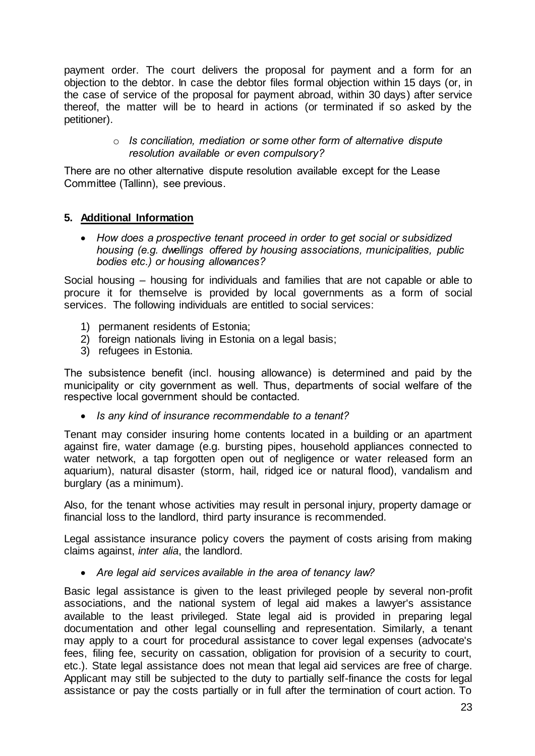payment order. The court delivers the proposal for payment and a form for an objection to the debtor. In case the debtor files formal objection within 15 days (or, in the case of service of the proposal for payment abroad, within 30 days) after service thereof, the matter will be to heard in actions (or terminated if so asked by the petitioner).

# o *Is conciliation, mediation or some other form of alternative dispute resolution available or even compulsory?*

There are no other alternative dispute resolution available except for the Lease Committee (Tallinn), see previous.

# <span id="page-22-0"></span>**5. Additional Information**

 *How does a prospective tenant proceed in order to get social or subsidized housing (e.g. dwellings offered by housing associations, municipalities, public bodies etc.) or housing allowances?*

Social housing – housing for individuals and families that are not capable or able to procure it for themselve is provided by local governments as a form of social services. The following individuals are entitled to social services:

- 1) permanent residents of Estonia;
- 2) foreign nationals living in Estonia on a legal basis;
- 3) refugees in Estonia.

The subsistence benefit (incl. housing allowance) is determined and paid by the municipality or city government as well. Thus, departments of social welfare of the respective local government should be contacted.

*Is any kind of insurance recommendable to a tenant?*

Tenant may consider insuring home contents located in a building or an apartment against fire, water damage (e.g. bursting pipes, household appliances connected to water network, a tap forgotten open out of negligence or water released form an aquarium), natural disaster (storm, hail, ridged ice or natural flood), vandalism and burglary (as a minimum).

Also, for the tenant whose activities may result in personal injury, property damage or financial loss to the landlord, third party insurance is recommended.

Legal assistance insurance policy covers the payment of costs arising from making claims against, *inter alia*, the landlord.

*Are legal aid services available in the area of tenancy law?*

Basic legal assistance is given to the least privileged people by several non-profit associations, and the national system of legal aid makes a lawyer's assistance available to the least privileged. State legal aid is provided in preparing legal documentation and other legal counselling and representation. Similarly, a tenant may apply to a court for procedural assistance to cover legal expenses (advocate's fees, filing fee, security on cassation, obligation for provision of a security to court, etc.). State legal assistance does not mean that legal aid services are free of charge. Applicant may still be subjected to the duty to partially self-finance the costs for legal assistance or pay the costs partially or in full after the termination of court action. To